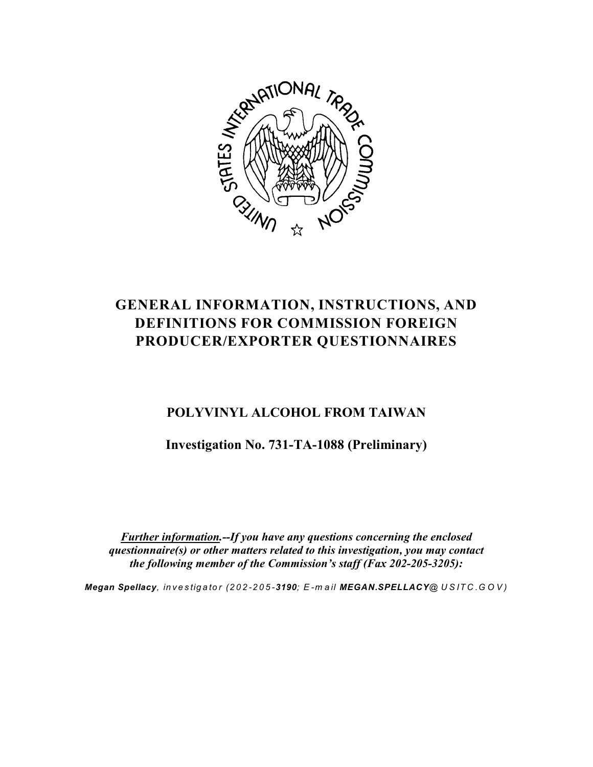

# **GENERAL INFORMATION, INSTRUCTIONS, AND DEFINITIONS FOR COMMISSION FOREIGN PRODUCER/EXPORTER QUESTIONNAIRES**

# **POLYVINYL ALCOHOL FROM TAIWAN**

**Investigation No. 731-TA-1088 (Preliminary)**

*Further information.--If you have any questions concerning the enclosed questionnaire(s) or other matters related to this investigation, you may contact the following member of the Commission's staff (Fax 202-205-3205):*

*Megan Spellacy, in v e s tigato r (202-205-3190; E -m a il MEGAN.SPELLACY@ U S IT C .G O V )*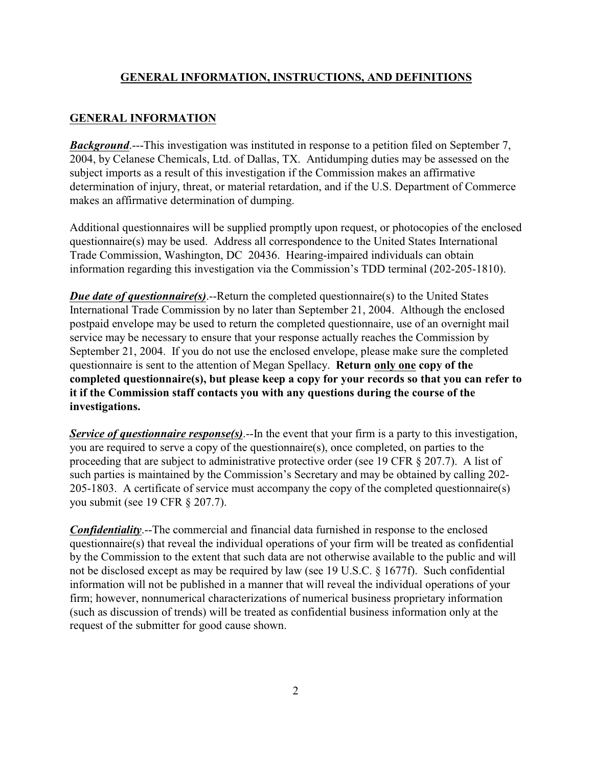#### **GENERAL INFORMATION, INSTRUCTIONS, AND DEFINITIONS**

#### **GENERAL INFORMATION**

*Background*.---This investigation was instituted in response to a petition filed on September 7, 2004, by Celanese Chemicals, Ltd. of Dallas, TX. Antidumping duties may be assessed on the subject imports as a result of this investigation if the Commission makes an affirmative determination of injury, threat, or material retardation, and if the U.S. Department of Commerce makes an affirmative determination of dumping.

Additional questionnaires will be supplied promptly upon request, or photocopies of the enclosed questionnaire(s) may be used. Address all correspondence to the United States International Trade Commission, Washington, DC 20436. Hearing-impaired individuals can obtain information regarding this investigation via the Commission's TDD terminal (202-205-1810).

*Due date of questionnaire(s)*.--Return the completed questionnaire(s) to the United States International Trade Commission by no later than September 21, 2004. Although the enclosed postpaid envelope may be used to return the completed questionnaire, use of an overnight mail service may be necessary to ensure that your response actually reaches the Commission by September 21, 2004. If you do not use the enclosed envelope, please make sure the completed questionnaire is sent to the attention of Megan Spellacy. **Return only one copy of the completed questionnaire(s), but please keep a copy for your records so that you can refer to it if the Commission staff contacts you with any questions during the course of the investigations.**

*Service of questionnaire response(s)*.--In the event that your firm is a party to this investigation, you are required to serve a copy of the questionnaire(s), once completed, on parties to the proceeding that are subject to administrative protective order (see 19 CFR § 207.7). A list of such parties is maintained by the Commission's Secretary and may be obtained by calling 202- 205-1803. A certificate of service must accompany the copy of the completed questionnaire(s) you submit (see 19 CFR § 207.7).

*Confidentiality*.--The commercial and financial data furnished in response to the enclosed questionnaire(s) that reveal the individual operations of your firm will be treated as confidential by the Commission to the extent that such data are not otherwise available to the public and will not be disclosed except as may be required by law (see 19 U.S.C. § 1677f). Such confidential information will not be published in a manner that will reveal the individual operations of your firm; however, nonnumerical characterizations of numerical business proprietary information (such as discussion of trends) will be treated as confidential business information only at the request of the submitter for good cause shown.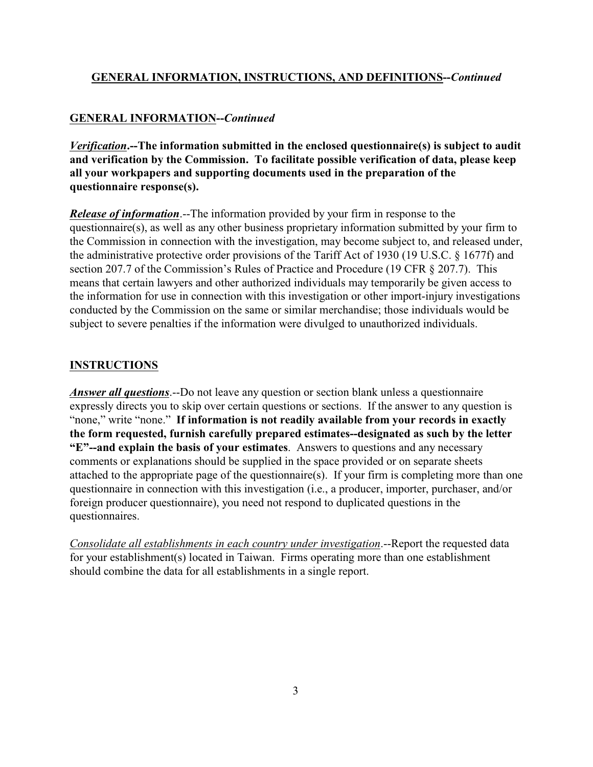#### **GENERAL INFORMATION, INSTRUCTIONS, AND DEFINITIONS--***Continued*

#### **GENERAL INFORMATION--***Continued*

*Verification***.--The information submitted in the enclosed questionnaire(s) is subject to audit and verification by the Commission. To facilitate possible verification of data, please keep all your workpapers and supporting documents used in the preparation of the questionnaire response(s).**

*Release of information*.--The information provided by your firm in response to the questionnaire(s), as well as any other business proprietary information submitted by your firm to the Commission in connection with the investigation, may become subject to, and released under, the administrative protective order provisions of the Tariff Act of 1930 (19 U.S.C. § 1677f) and section 207.7 of the Commission's Rules of Practice and Procedure (19 CFR § 207.7). This means that certain lawyers and other authorized individuals may temporarily be given access to the information for use in connection with this investigation or other import-injury investigations conducted by the Commission on the same or similar merchandise; those individuals would be subject to severe penalties if the information were divulged to unauthorized individuals.

#### **INSTRUCTIONS**

*Answer all questions*.--Do not leave any question or section blank unless a questionnaire expressly directs you to skip over certain questions or sections. If the answer to any question is "none," write "none." **If information is not readily available from your records in exactly the form requested, furnish carefully prepared estimates--designated as such by the letter "E"--and explain the basis of your estimates**. Answers to questions and any necessary comments or explanations should be supplied in the space provided or on separate sheets attached to the appropriate page of the questionnaire(s). If your firm is completing more than one questionnaire in connection with this investigation (i.e., a producer, importer, purchaser, and/or foreign producer questionnaire), you need not respond to duplicated questions in the questionnaires.

*Consolidate all establishments in each country under investigation*.--Report the requested data for your establishment(s) located in Taiwan. Firms operating more than one establishment should combine the data for all establishments in a single report.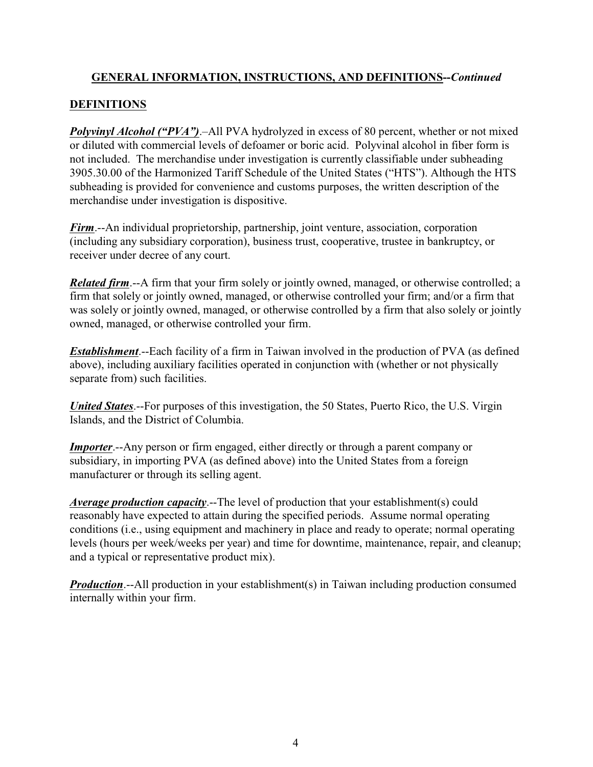## **GENERAL INFORMATION, INSTRUCTIONS, AND DEFINITIONS--***Continued*

## **DEFINITIONS**

*Polyvinyl Alcohol ("PVA")*.–All PVA hydrolyzed in excess of 80 percent, whether or not mixed or diluted with commercial levels of defoamer or boric acid. Polyvinal alcohol in fiber form is not included. The merchandise under investigation is currently classifiable under subheading 3905.30.00 of the Harmonized Tariff Schedule of the United States ("HTS"). Although the HTS subheading is provided for convenience and customs purposes, the written description of the merchandise under investigation is dispositive.

*Firm*.--An individual proprietorship, partnership, joint venture, association, corporation (including any subsidiary corporation), business trust, cooperative, trustee in bankruptcy, or receiver under decree of any court.

*Related firm*.--A firm that your firm solely or jointly owned, managed, or otherwise controlled; a firm that solely or jointly owned, managed, or otherwise controlled your firm; and/or a firm that was solely or jointly owned, managed, or otherwise controlled by a firm that also solely or jointly owned, managed, or otherwise controlled your firm.

*Establishment*.--Each facility of a firm in Taiwan involved in the production of PVA (as defined above), including auxiliary facilities operated in conjunction with (whether or not physically separate from) such facilities.

*United States*.--For purposes of this investigation, the 50 States, Puerto Rico, the U.S. Virgin Islands, and the District of Columbia.

*Importer*.--Any person or firm engaged, either directly or through a parent company or subsidiary, in importing PVA (as defined above) into the United States from a foreign manufacturer or through its selling agent.

*Average production capacity*.--The level of production that your establishment(s) could reasonably have expected to attain during the specified periods. Assume normal operating conditions (i.e., using equipment and machinery in place and ready to operate; normal operating levels (hours per week/weeks per year) and time for downtime, maintenance, repair, and cleanup; and a typical or representative product mix).

*Production*.--All production in your establishment(s) in Taiwan including production consumed internally within your firm.